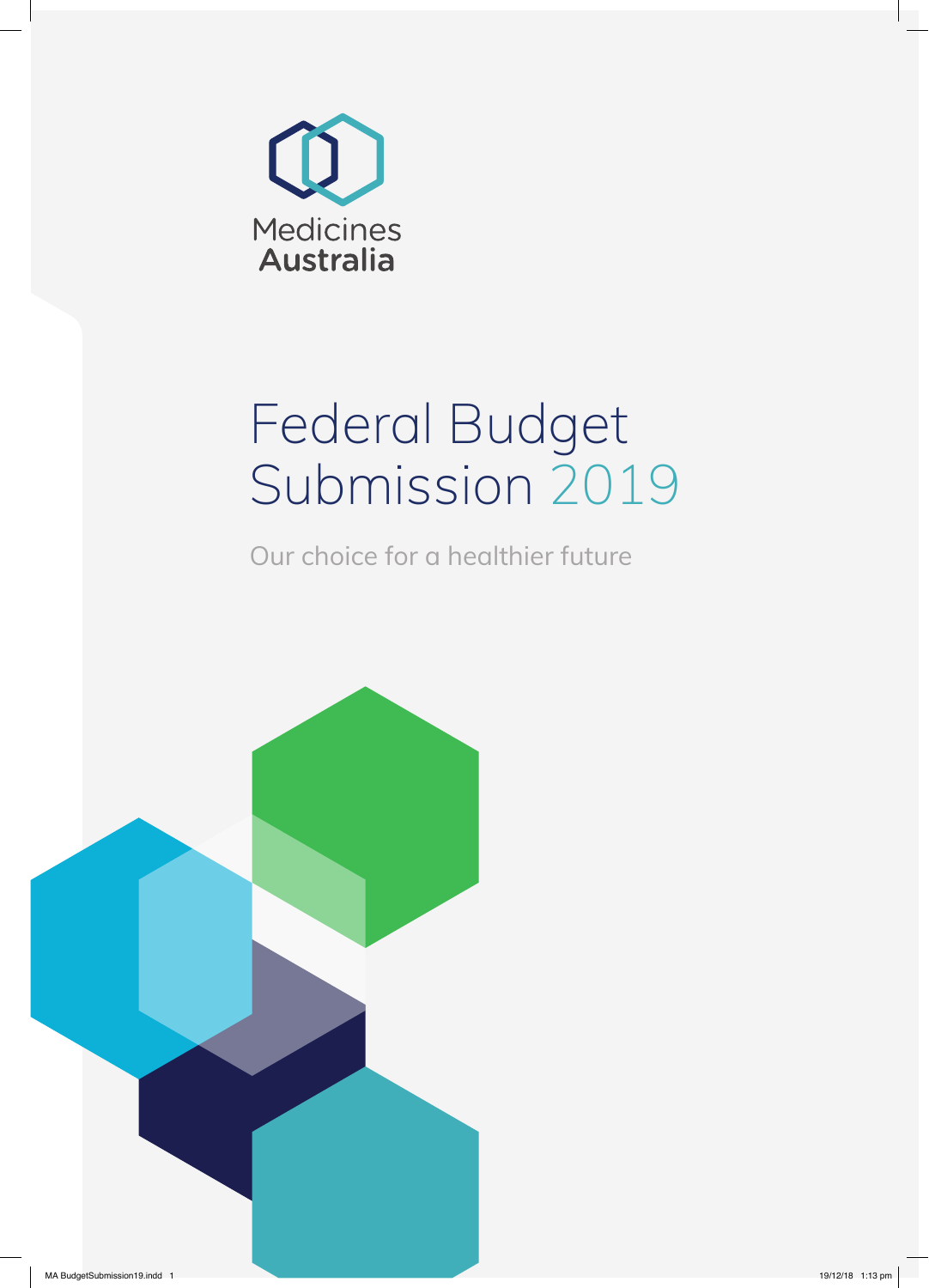

# Federal Budget Submission 2019

Our choice for a healthier future

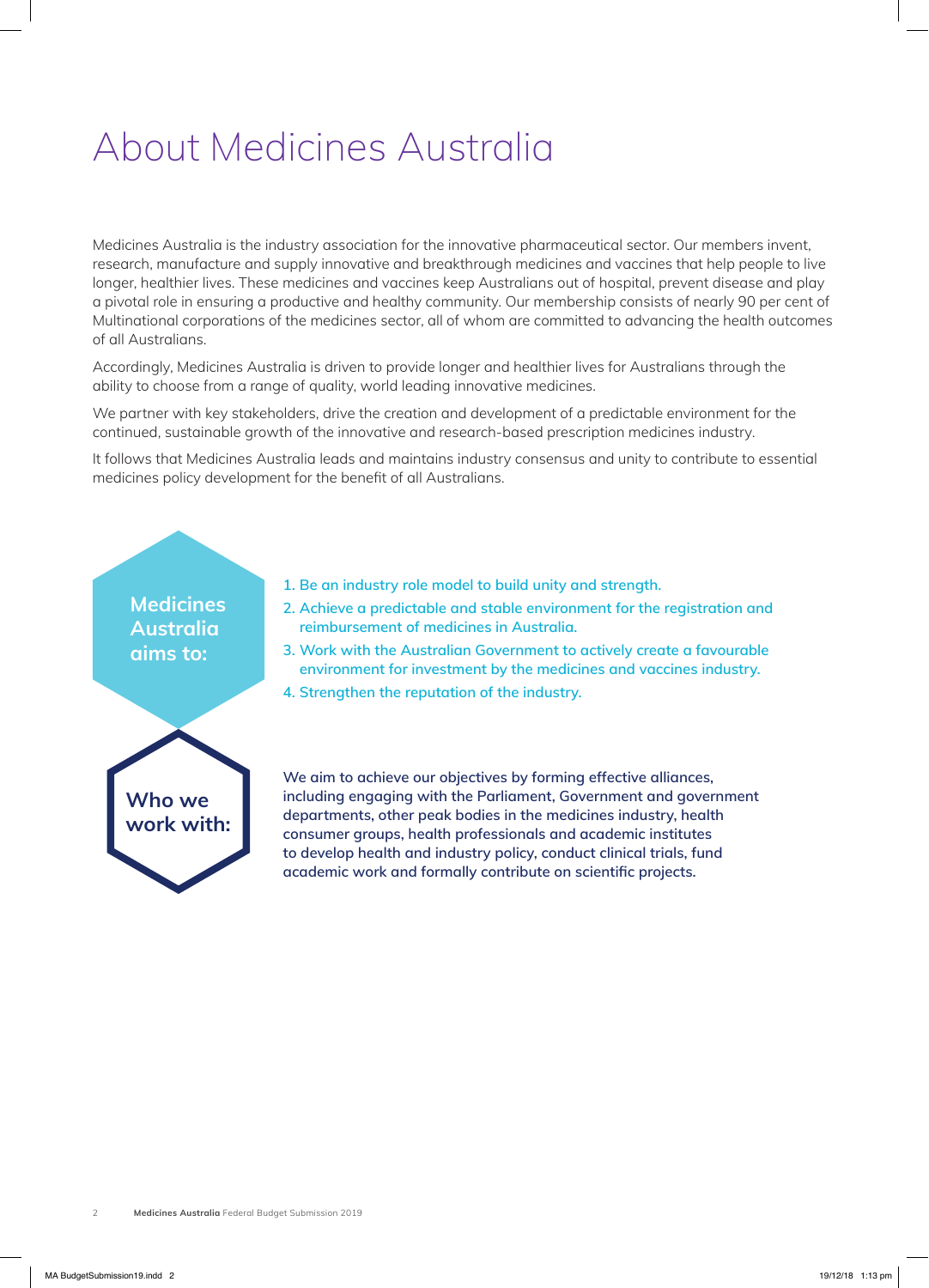# About Medicines Australia

Medicines Australia is the industry association for the innovative pharmaceutical sector. Our members invent, research, manufacture and supply innovative and breakthrough medicines and vaccines that help people to live longer, healthier lives. These medicines and vaccines keep Australians out of hospital, prevent disease and play a pivotal role in ensuring a productive and healthy community. Our membership consists of nearly 90 per cent of Multinational corporations of the medicines sector, all of whom are committed to advancing the health outcomes of all Australians.

Accordingly, Medicines Australia is driven to provide longer and healthier lives for Australians through the ability to choose from a range of quality, world leading innovative medicines.

We partner with key stakeholders, drive the creation and development of a predictable environment for the continued, sustainable growth of the innovative and research-based prescription medicines industry.

It follows that Medicines Australia leads and maintains industry consensus and unity to contribute to essential medicines policy development for the benefit of all Australians.

# **Medicines Australia aims to:**

- **1. Be an industry role model to build unity and strength.**
- **2. Achieve a predictable and stable environment for the registration and reimbursement of medicines in Australia.**
- **3. Work with the Australian Government to actively create a favourable environment for investment by the medicines and vaccines industry.**
- **4. Strengthen the reputation of the industry.**



**We aim to achieve our objectives by forming effective alliances, including engaging with the Parliament, Government and government departments, other peak bodies in the medicines industry, health consumer groups, health professionals and academic institutes to develop health and industry policy, conduct clinical trials, fund academic work and formally contribute on scientific projects.**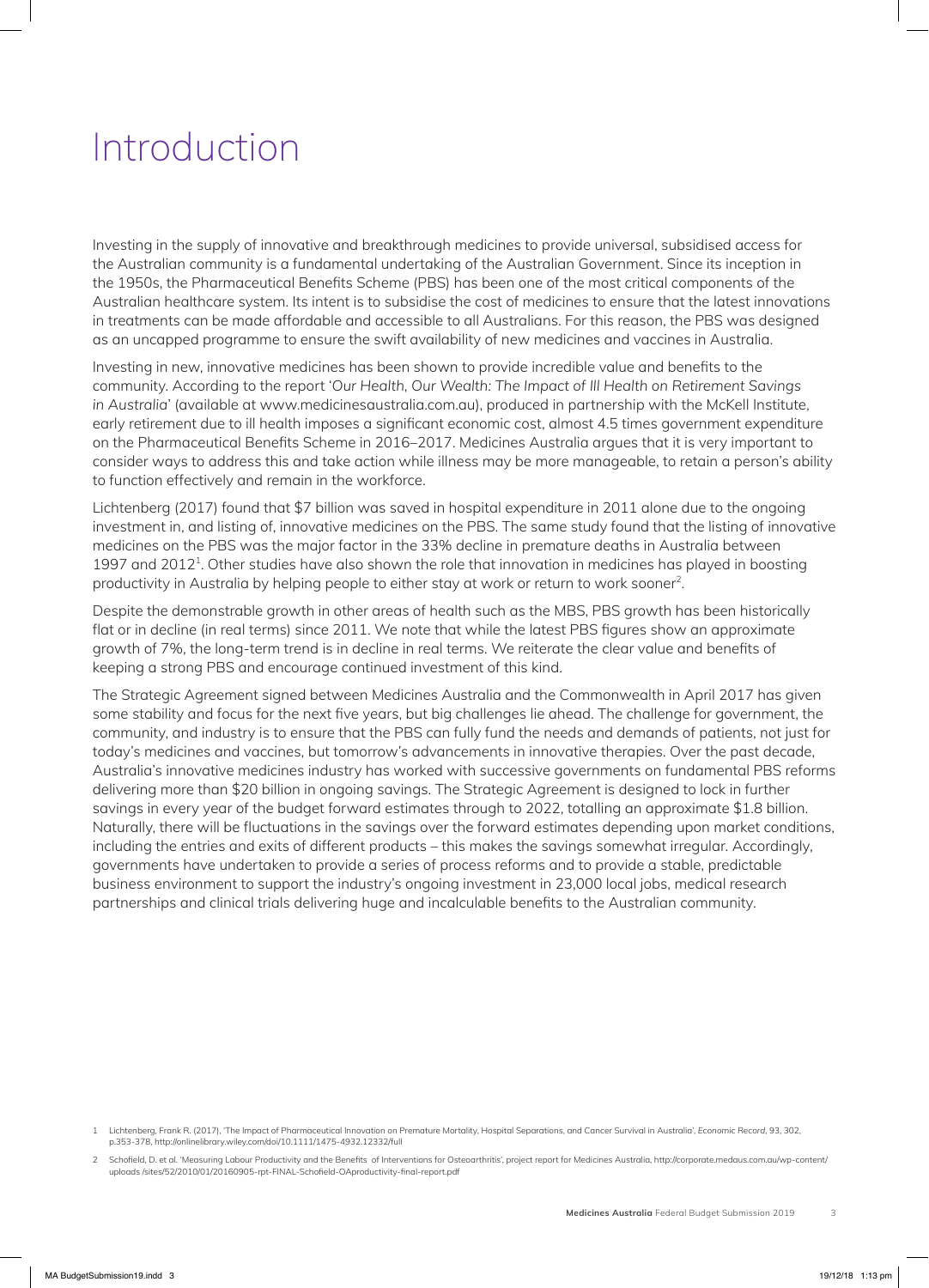# Introduction

Investing in the supply of innovative and breakthrough medicines to provide universal, subsidised access for the Australian community is a fundamental undertaking of the Australian Government. Since its inception in the 1950s, the Pharmaceutical Benefits Scheme (PBS) has been one of the most critical components of the Australian healthcare system. Its intent is to subsidise the cost of medicines to ensure that the latest innovations in treatments can be made affordable and accessible to all Australians. For this reason, the PBS was designed as an uncapped programme to ensure the swift availability of new medicines and vaccines in Australia.

Investing in new, innovative medicines has been shown to provide incredible value and benefits to the community. According to the report '*Our Health, Our Wealth: The Impact of Ill Health on Retirement Savings in Australia*' (available at www.medicinesaustralia.com.au), produced in partnership with the McKell Institute, early retirement due to ill health imposes a significant economic cost, almost 4.5 times government expenditure on the Pharmaceutical Benefits Scheme in 2016–2017. Medicines Australia argues that it is very important to consider ways to address this and take action while illness may be more manageable, to retain a person's ability to function effectively and remain in the workforce.

Lichtenberg (2017) found that \$7 billion was saved in hospital expenditure in 2011 alone due to the ongoing investment in, and listing of, innovative medicines on the PBS. The same study found that the listing of innovative medicines on the PBS was the major factor in the 33% decline in premature deaths in Australia between 1997 and 2012<sup>1</sup>. Other studies have also shown the role that innovation in medicines has played in boosting productivity in Australia by helping people to either stay at work or return to work sooner<sup>2</sup>.

Despite the demonstrable growth in other areas of health such as the MBS, PBS growth has been historically flat or in decline (in real terms) since 2011. We note that while the latest PBS figures show an approximate growth of 7%, the long-term trend is in decline in real terms. We reiterate the clear value and benefits of keeping a strong PBS and encourage continued investment of this kind.

The Strategic Agreement signed between Medicines Australia and the Commonwealth in April 2017 has given some stability and focus for the next five years, but big challenges lie ahead. The challenge for government, the community, and industry is to ensure that the PBS can fully fund the needs and demands of patients, not just for today's medicines and vaccines, but tomorrow's advancements in innovative therapies. Over the past decade, Australia's innovative medicines industry has worked with successive governments on fundamental PBS reforms delivering more than \$20 billion in ongoing savings. The Strategic Agreement is designed to lock in further savings in every year of the budget forward estimates through to 2022, totalling an approximate \$1.8 billion. Naturally, there will be fluctuations in the savings over the forward estimates depending upon market conditions, including the entries and exits of different products – this makes the savings somewhat irregular. Accordingly, governments have undertaken to provide a series of process reforms and to provide a stable, predictable business environment to support the industry's ongoing investment in 23,000 local jobs, medical research partnerships and clinical trials delivering huge and incalculable benefits to the Australian community.

<sup>1</sup> Lichtenberg, Frank R. (2017), 'The Impact of Pharmaceutical Innovation on Premature Mortality, Hospital Separations, and Cancer Survival in Australia', *Economic Record*, 93, 302, p.353-378, http://onlinelibrary.wiley.com/doi/10.1111/1475-4932.12332/full

<sup>2</sup> Schofield, D. et al. 'Measuring Labour Productivity and the Benefits of Interventions for Osteoarthritis', project report for Medicines Australia, http://corporate.medaus.com.au/wp-content/ uploads /sites/52/2010/01/20160905-rpt-FINAL-Schofield-OAproductivity-final-report.pdf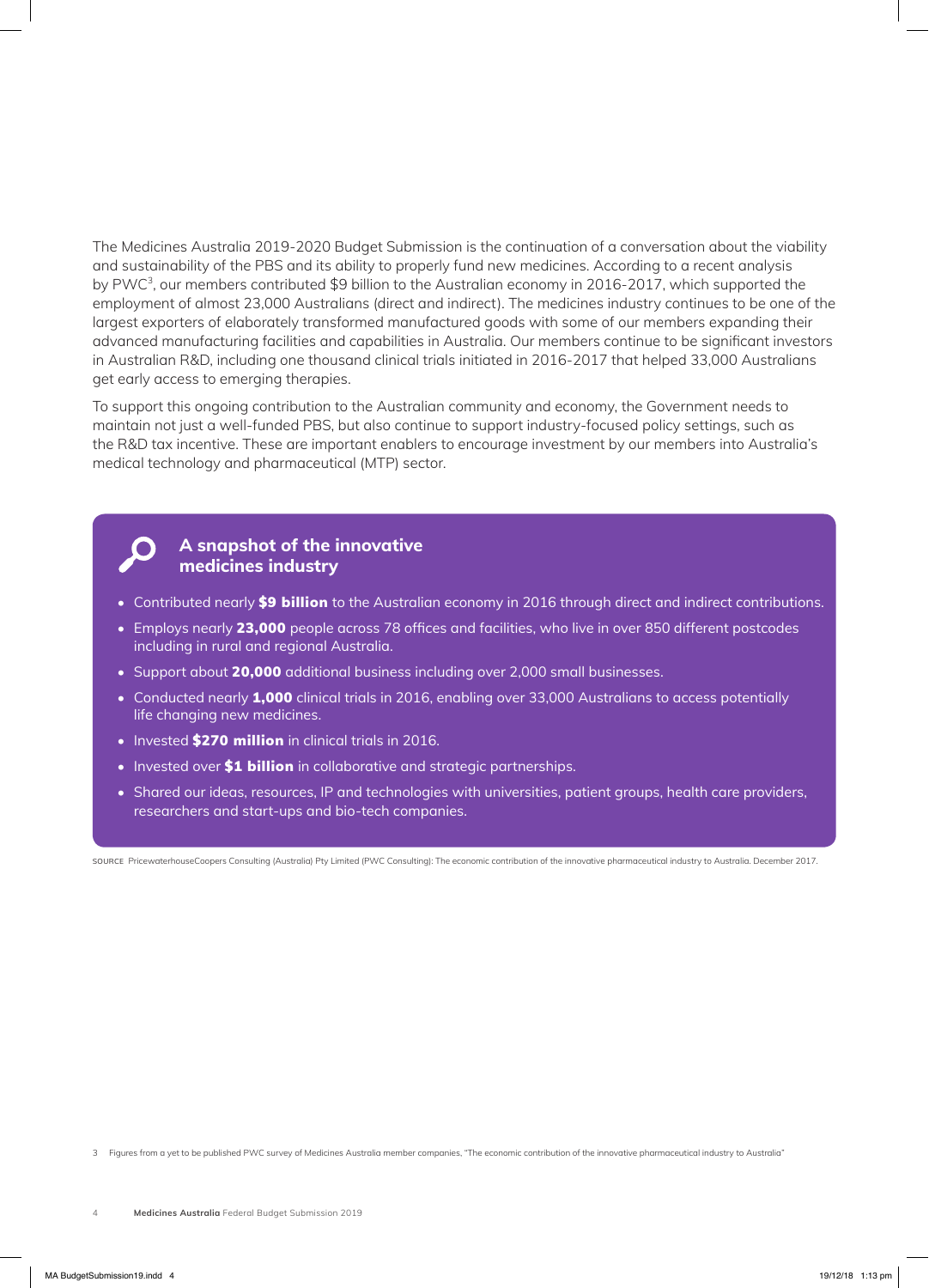The Medicines Australia 2019-2020 Budget Submission is the continuation of a conversation about the viability and sustainability of the PBS and its ability to properly fund new medicines. According to a recent analysis by PWC<sup>3</sup>, our members contributed \$9 billion to the Australian economy in 2016-2017, which supported the employment of almost 23,000 Australians (direct and indirect). The medicines industry continues to be one of the largest exporters of elaborately transformed manufactured goods with some of our members expanding their advanced manufacturing facilities and capabilities in Australia. Our members continue to be significant investors in Australian R&D, including one thousand clinical trials initiated in 2016-2017 that helped 33,000 Australians get early access to emerging therapies.

To support this ongoing contribution to the Australian community and economy, the Government needs to maintain not just a well-funded PBS, but also continue to support industry-focused policy settings, such as the R&D tax incentive. These are important enablers to encourage investment by our members into Australia's medical technology and pharmaceutical (MTP) sector.

#### **A snapshot of the innovative medicines industry**

- Contributed nearly \$9 billion to the Australian economy in 2016 through direct and indirect contributions.
- Employs nearly 23,000 people across 78 offices and facilities, who live in over 850 different postcodes including in rural and regional Australia.
- Support about 20,000 additional business including over 2,000 small businesses.
- Conducted nearly 1,000 clinical trials in 2016, enabling over 33,000 Australians to access potentially life changing new medicines.
- Invested \$270 million in clinical trials in 2016.
- Invested over \$1 billion in collaborative and strategic partnerships.
- Shared our ideas, resources, IP and technologies with universities, patient groups, health care providers, researchers and start-ups and bio-tech companies.

SOURCE PricewaterhouseCoopers Consulting (Australia) Pty Limited (PWC Consulting): The economic contribution of the innovative pharmaceutical industry to Australia. December 2017.

3 Figures from a yet to be published PWC survey of Medicines Australia member companies, "The economic contribution of the innovative pharmaceutical industry to Australia"

<sup>4</sup> **Medicines Australia** Federal Budget Submission 2019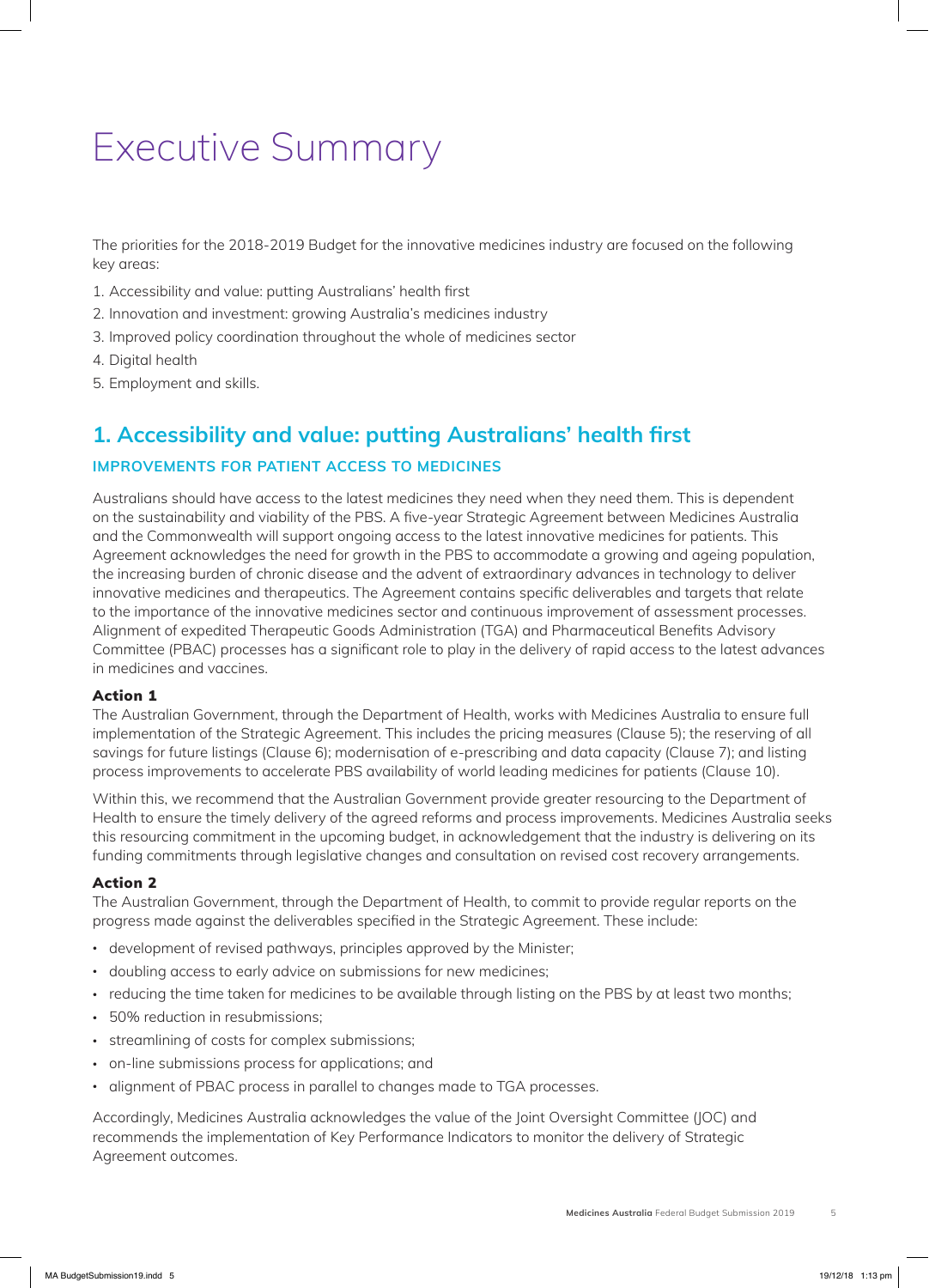# Executive Summary

The priorities for the 2018-2019 Budget for the innovative medicines industry are focused on the following key areas:

- 1. Accessibility and value: putting Australians' health first
- 2. Innovation and investment: growing Australia's medicines industry
- 3. Improved policy coordination throughout the whole of medicines sector
- 4. Digital health
- 5. Employment and skills.

### **1. Accessibility and value: putting Australians' health first**

#### **IMPROVEMENTS FOR PATIENT ACCESS TO MEDICINES**

Australians should have access to the latest medicines they need when they need them. This is dependent on the sustainability and viability of the PBS. A five-year Strategic Agreement between Medicines Australia and the Commonwealth will support ongoing access to the latest innovative medicines for patients. This Agreement acknowledges the need for growth in the PBS to accommodate a growing and ageing population, the increasing burden of chronic disease and the advent of extraordinary advances in technology to deliver innovative medicines and therapeutics. The Agreement contains specific deliverables and targets that relate to the importance of the innovative medicines sector and continuous improvement of assessment processes. Alignment of expedited Therapeutic Goods Administration (TGA) and Pharmaceutical Benefits Advisory Committee (PBAC) processes has a significant role to play in the delivery of rapid access to the latest advances in medicines and vaccines.

#### Action 1

The Australian Government, through the Department of Health, works with Medicines Australia to ensure full implementation of the Strategic Agreement. This includes the pricing measures (Clause 5); the reserving of all savings for future listings (Clause 6); modernisation of e-prescribing and data capacity (Clause 7); and listing process improvements to accelerate PBS availability of world leading medicines for patients (Clause 10).

Within this, we recommend that the Australian Government provide greater resourcing to the Department of Health to ensure the timely delivery of the agreed reforms and process improvements. Medicines Australia seeks this resourcing commitment in the upcoming budget, in acknowledgement that the industry is delivering on its funding commitments through legislative changes and consultation on revised cost recovery arrangements.

#### Action 2

The Australian Government, through the Department of Health, to commit to provide regular reports on the progress made against the deliverables specified in the Strategic Agreement. These include:

- development of revised pathways, principles approved by the Minister;
- doubling access to early advice on submissions for new medicines;
- reducing the time taken for medicines to be available through listing on the PBS by at least two months;
- 50% reduction in resubmissions;
- streamlining of costs for complex submissions;
- on-line submissions process for applications; and
- alignment of PBAC process in parallel to changes made to TGA processes.

Accordingly, Medicines Australia acknowledges the value of the Joint Oversight Committee (JOC) and recommends the implementation of Key Performance Indicators to monitor the delivery of Strategic Agreement outcomes.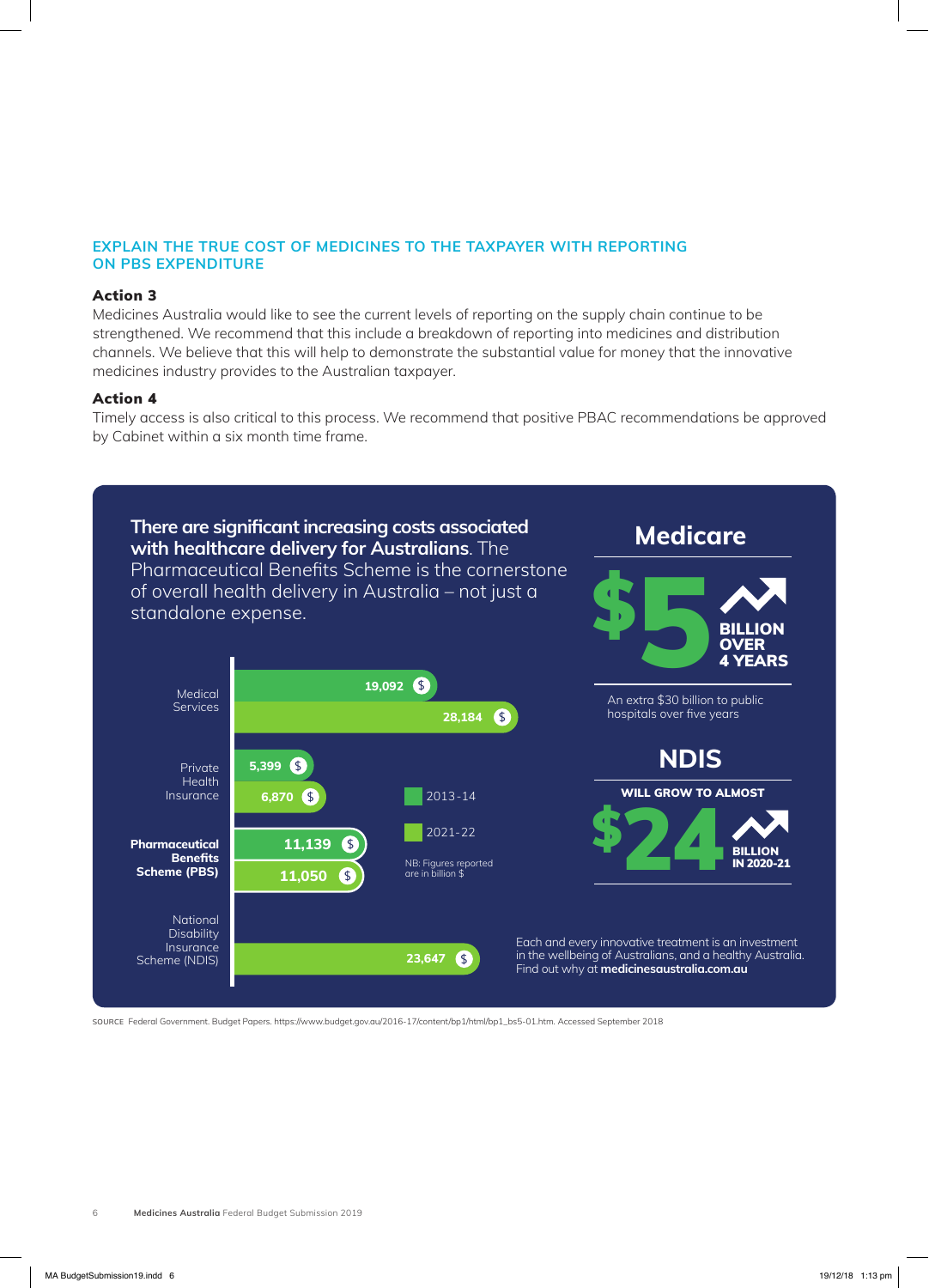#### **EXPLAIN THE TRUE COST OF MEDICINES TO THE TAXPAYER WITH REPORTING ON PBS EXPENDITURE**

#### Action 3

Medicines Australia would like to see the current levels of reporting on the supply chain continue to be strengthened. We recommend that this include a breakdown of reporting into medicines and distribution channels. We believe that this will help to demonstrate the substantial value for money that the innovative medicines industry provides to the Australian taxpayer.

#### Action 4

Timely access is also critical to this process. We recommend that positive PBAC recommendations be approved by Cabinet within a six month time frame.



SOURCE Federal Government. Budget Papers. https://www.budget.gov.au/2016-17/content/bp1/html/bp1\_bs5-01.htm. Accessed September 2018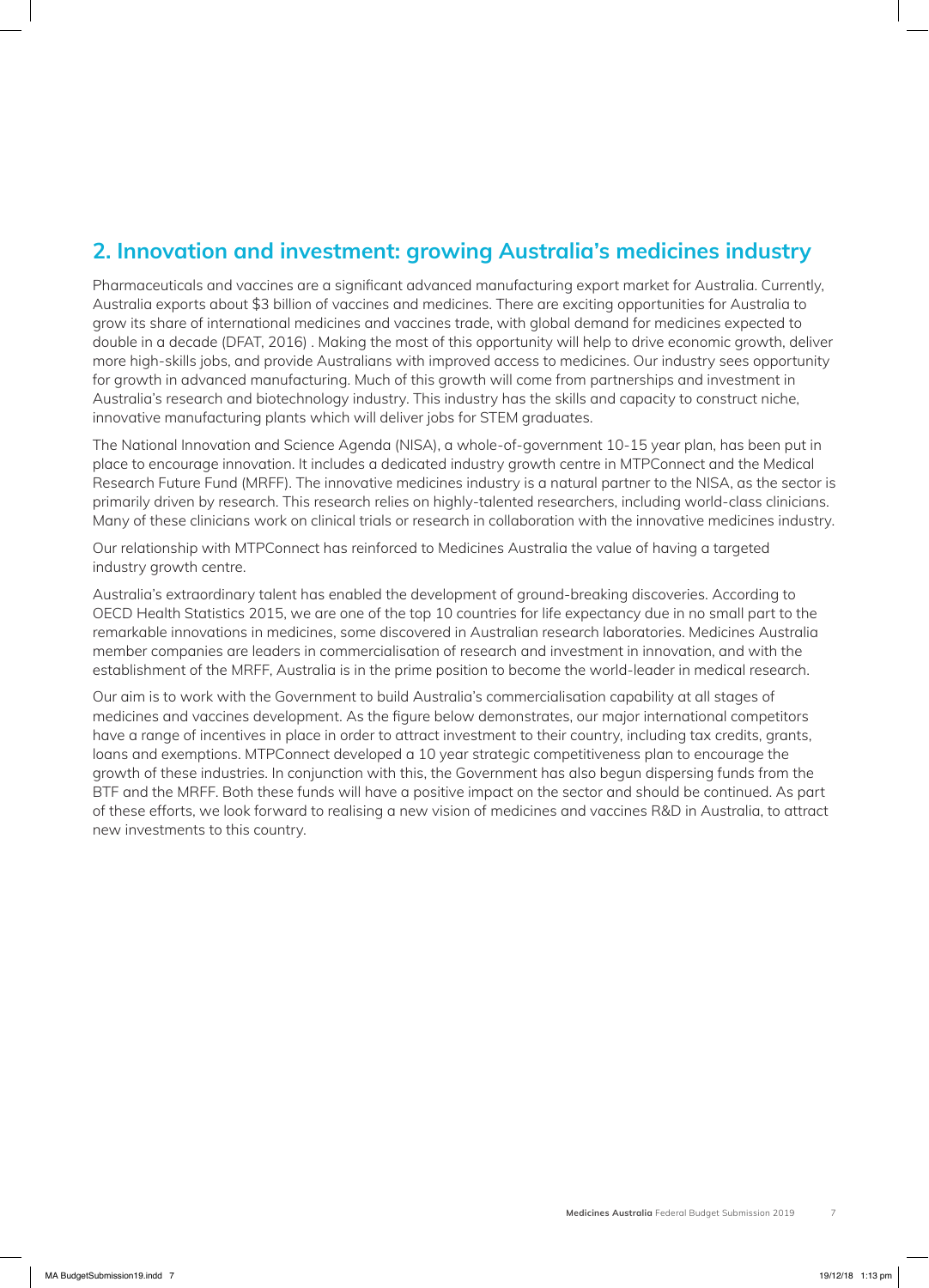# **2. Innovation and investment: growing Australia's medicines industry**

Pharmaceuticals and vaccines are a significant advanced manufacturing export market for Australia. Currently, Australia exports about \$3 billion of vaccines and medicines. There are exciting opportunities for Australia to grow its share of international medicines and vaccines trade, with global demand for medicines expected to double in a decade (DFAT, 2016) . Making the most of this opportunity will help to drive economic growth, deliver more high-skills jobs, and provide Australians with improved access to medicines. Our industry sees opportunity for growth in advanced manufacturing. Much of this growth will come from partnerships and investment in Australia's research and biotechnology industry. This industry has the skills and capacity to construct niche, innovative manufacturing plants which will deliver jobs for STEM graduates.

The National Innovation and Science Agenda (NISA), a whole-of-government 10-15 year plan, has been put in place to encourage innovation. It includes a dedicated industry growth centre in MTPConnect and the Medical Research Future Fund (MRFF). The innovative medicines industry is a natural partner to the NISA, as the sector is primarily driven by research. This research relies on highly-talented researchers, including world-class clinicians. Many of these clinicians work on clinical trials or research in collaboration with the innovative medicines industry.

Our relationship with MTPConnect has reinforced to Medicines Australia the value of having a targeted industry growth centre.

Australia's extraordinary talent has enabled the development of ground-breaking discoveries. According to OECD Health Statistics 2015, we are one of the top 10 countries for life expectancy due in no small part to the remarkable innovations in medicines, some discovered in Australian research laboratories. Medicines Australia member companies are leaders in commercialisation of research and investment in innovation, and with the establishment of the MRFF, Australia is in the prime position to become the world-leader in medical research.

Our aim is to work with the Government to build Australia's commercialisation capability at all stages of medicines and vaccines development. As the figure below demonstrates, our major international competitors have a range of incentives in place in order to attract investment to their country, including tax credits, grants, loans and exemptions. MTPConnect developed a 10 year strategic competitiveness plan to encourage the growth of these industries. In conjunction with this, the Government has also begun dispersing funds from the BTF and the MRFF. Both these funds will have a positive impact on the sector and should be continued. As part of these efforts, we look forward to realising a new vision of medicines and vaccines R&D in Australia, to attract new investments to this country.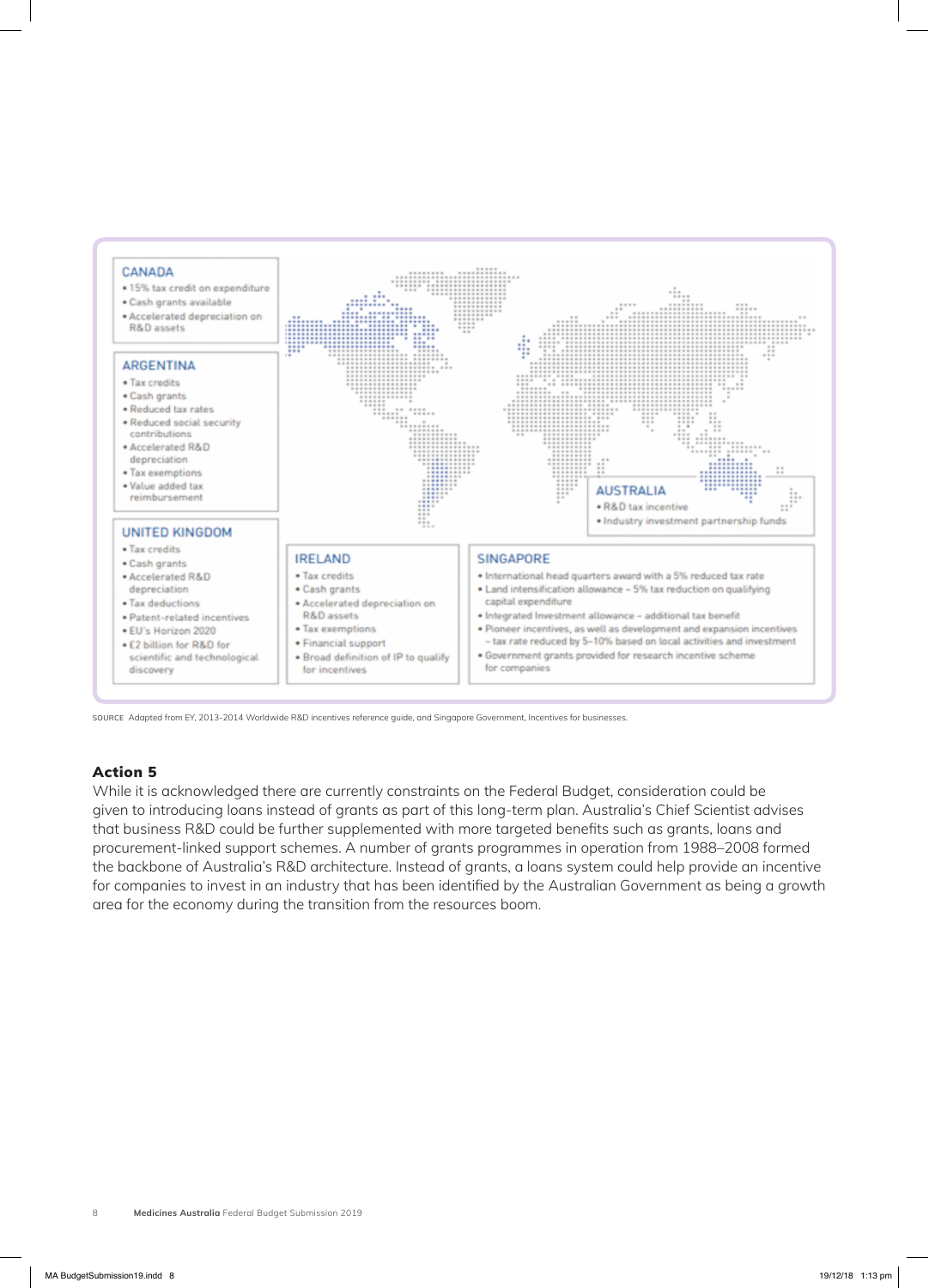

SOURCE Adapted from EY, 2013-2014 Worldwide R&D incentives reference guide, and Singapore Government, Incentives for businesses.

### Action 5

While it is acknowledged there are currently constraints on the Federal Budget, consideration could be given to introducing loans instead of grants as part of this long-term plan. Australia's Chief Scientist advises that business R&D could be further supplemented with more targeted benefits such as grants, loans and procurement-linked support schemes. A number of grants programmes in operation from 1988–2008 formed the backbone of Australia's R&D architecture. Instead of grants, a loans system could help provide an incentive for companies to invest in an industry that has been identified by the Australian Government as being a growth area for the economy during the transition from the resources boom.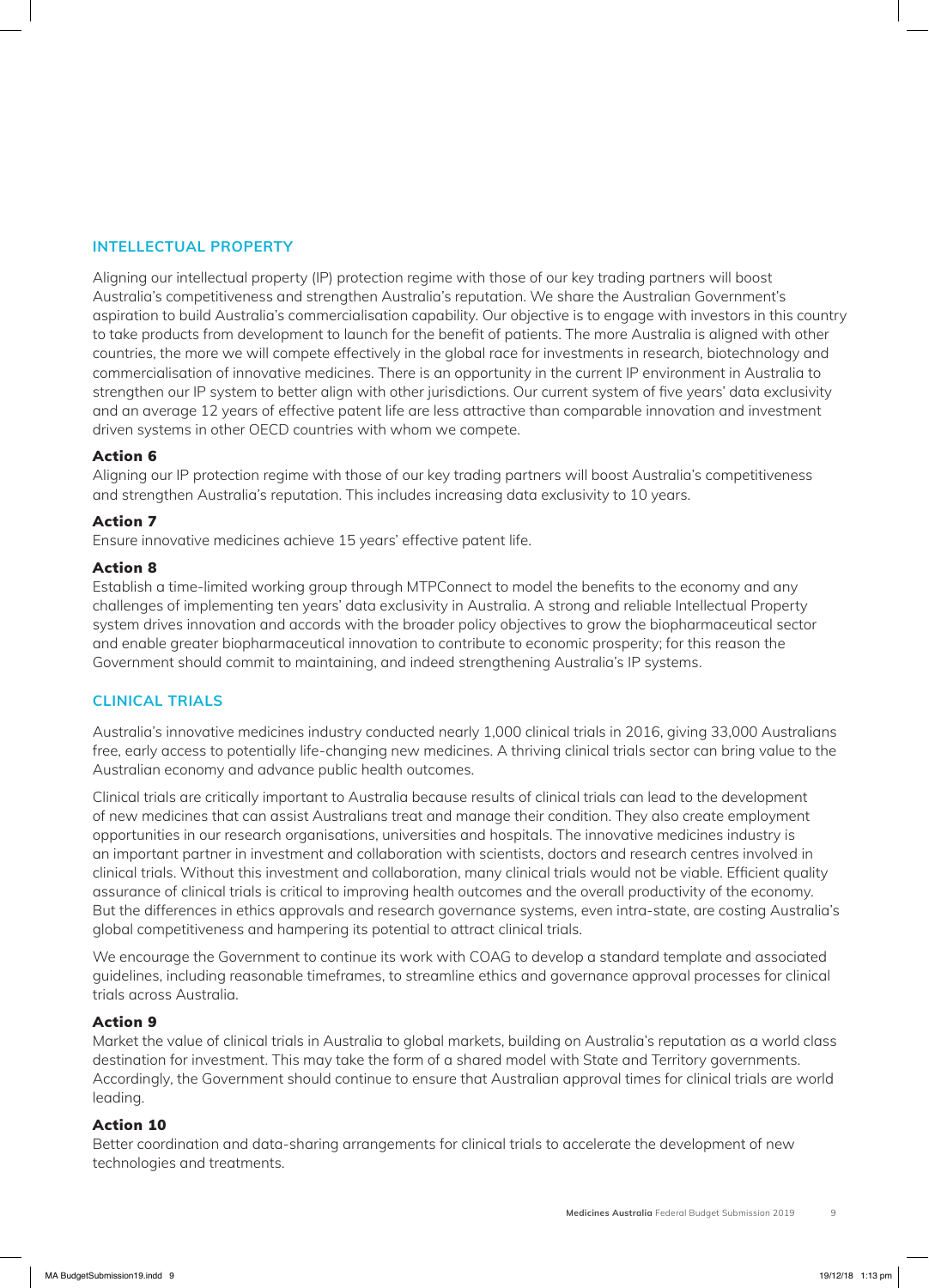#### **INTELLECTUAL PROPERTY**

Aligning our intellectual property (IP) protection regime with those of our key trading partners will boost Australia's competitiveness and strengthen Australia's reputation. We share the Australian Government's aspiration to build Australia's commercialisation capability. Our objective is to engage with investors in this country to take products from development to launch for the benefit of patients. The more Australia is aligned with other countries, the more we will compete effectively in the global race for investments in research, biotechnology and commercialisation of innovative medicines. There is an opportunity in the current IP environment in Australia to strengthen our IP system to better align with other jurisdictions. Our current system of five years' data exclusivity and an average 12 years of effective patent life are less attractive than comparable innovation and investment driven systems in other OECD countries with whom we compete.

#### Action 6

Aligning our IP protection regime with those of our key trading partners will boost Australia's competitiveness and strengthen Australia's reputation. This includes increasing data exclusivity to 10 years.

#### Action 7

Ensure innovative medicines achieve 15 years' effective patent life.

#### Action 8

Establish a time-limited working group through MTPConnect to model the benefits to the economy and any challenges of implementing ten years' data exclusivity in Australia. A strong and reliable Intellectual Property system drives innovation and accords with the broader policy objectives to grow the biopharmaceutical sector and enable greater biopharmaceutical innovation to contribute to economic prosperity; for this reason the Government should commit to maintaining, and indeed strengthening Australia's IP systems.

#### **CLINICAL TRIALS**

Australia's innovative medicines industry conducted nearly 1,000 clinical trials in 2016, giving 33,000 Australians free, early access to potentially life-changing new medicines. A thriving clinical trials sector can bring value to the Australian economy and advance public health outcomes.

Clinical trials are critically important to Australia because results of clinical trials can lead to the development of new medicines that can assist Australians treat and manage their condition. They also create employment opportunities in our research organisations, universities and hospitals. The innovative medicines industry is an important partner in investment and collaboration with scientists, doctors and research centres involved in clinical trials. Without this investment and collaboration, many clinical trials would not be viable. Efficient quality assurance of clinical trials is critical to improving health outcomes and the overall productivity of the economy. But the differences in ethics approvals and research governance systems, even intra-state, are costing Australia's global competitiveness and hampering its potential to attract clinical trials.

We encourage the Government to continue its work with COAG to develop a standard template and associated guidelines, including reasonable timeframes, to streamline ethics and governance approval processes for clinical trials across Australia.

#### Action 9

Market the value of clinical trials in Australia to global markets, building on Australia's reputation as a world class destination for investment. This may take the form of a shared model with State and Territory governments. Accordingly, the Government should continue to ensure that Australian approval times for clinical trials are world leading.

#### Action 10

Better coordination and data-sharing arrangements for clinical trials to accelerate the development of new technologies and treatments.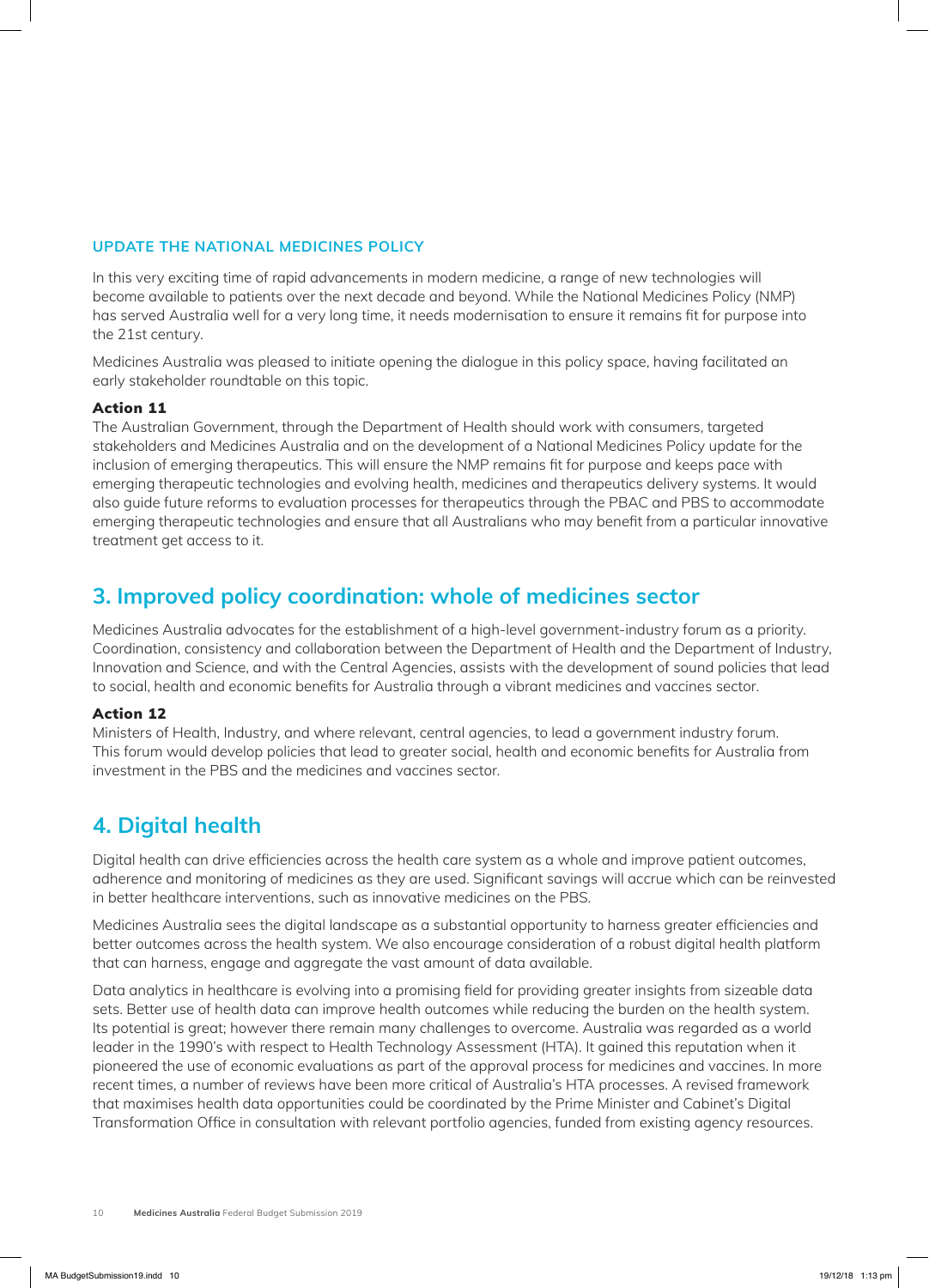#### **UPDATE THE NATIONAL MEDICINES POLICY**

In this very exciting time of rapid advancements in modern medicine, a range of new technologies will become available to patients over the next decade and beyond. While the National Medicines Policy (NMP) has served Australia well for a very long time, it needs modernisation to ensure it remains fit for purpose into the 21st century.

Medicines Australia was pleased to initiate opening the dialogue in this policy space, having facilitated an early stakeholder roundtable on this topic.

#### Action 11

The Australian Government, through the Department of Health should work with consumers, targeted stakeholders and Medicines Australia and on the development of a National Medicines Policy update for the inclusion of emerging therapeutics. This will ensure the NMP remains fit for purpose and keeps pace with emerging therapeutic technologies and evolving health, medicines and therapeutics delivery systems. It would also guide future reforms to evaluation processes for therapeutics through the PBAC and PBS to accommodate emerging therapeutic technologies and ensure that all Australians who may benefit from a particular innovative treatment get access to it.

# **3. Improved policy coordination: whole of medicines sector**

Medicines Australia advocates for the establishment of a high-level government-industry forum as a priority. Coordination, consistency and collaboration between the Department of Health and the Department of Industry, Innovation and Science, and with the Central Agencies, assists with the development of sound policies that lead to social, health and economic benefits for Australia through a vibrant medicines and vaccines sector.

#### Action 12

Ministers of Health, Industry, and where relevant, central agencies, to lead a government industry forum. This forum would develop policies that lead to greater social, health and economic benefits for Australia from investment in the PBS and the medicines and vaccines sector.

### **4. Digital health**

Digital health can drive efficiencies across the health care system as a whole and improve patient outcomes, adherence and monitoring of medicines as they are used. Significant savings will accrue which can be reinvested in better healthcare interventions, such as innovative medicines on the PBS.

Medicines Australia sees the digital landscape as a substantial opportunity to harness greater efficiencies and better outcomes across the health system. We also encourage consideration of a robust digital health platform that can harness, engage and aggregate the vast amount of data available.

Data analytics in healthcare is evolving into a promising field for providing greater insights from sizeable data sets. Better use of health data can improve health outcomes while reducing the burden on the health system. Its potential is great; however there remain many challenges to overcome. Australia was regarded as a world leader in the 1990's with respect to Health Technology Assessment (HTA). It gained this reputation when it pioneered the use of economic evaluations as part of the approval process for medicines and vaccines. In more recent times, a number of reviews have been more critical of Australia's HTA processes. A revised framework that maximises health data opportunities could be coordinated by the Prime Minister and Cabinet's Digital Transformation Office in consultation with relevant portfolio agencies, funded from existing agency resources.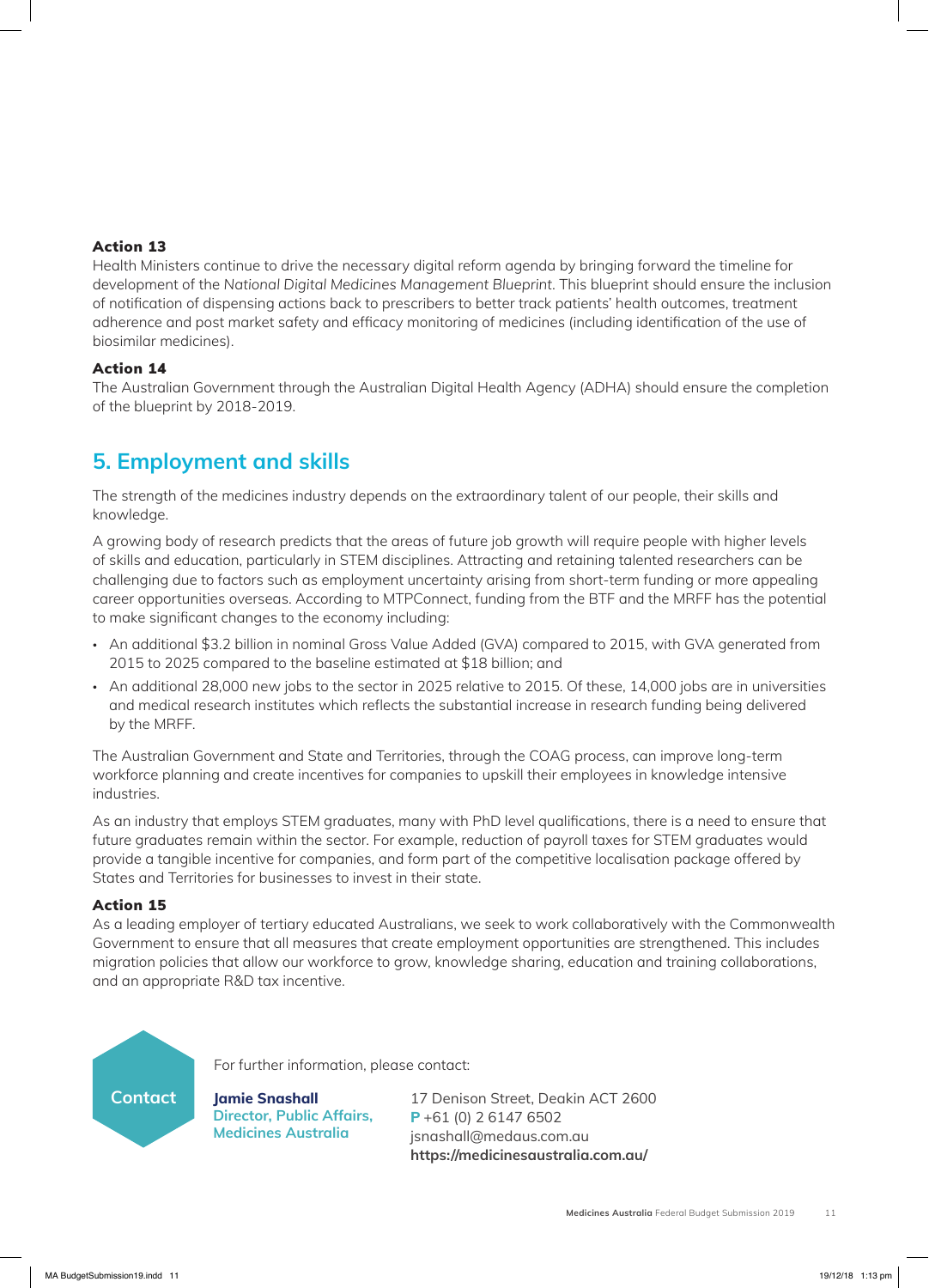#### Action 13

Health Ministers continue to drive the necessary digital reform agenda by bringing forward the timeline for development of the *National Digital Medicines Management Blueprint*. This blueprint should ensure the inclusion of notification of dispensing actions back to prescribers to better track patients' health outcomes, treatment adherence and post market safety and efficacy monitoring of medicines (including identification of the use of biosimilar medicines).

#### Action 14

The Australian Government through the Australian Digital Health Agency (ADHA) should ensure the completion of the blueprint by 2018-2019.

# **5. Employment and skills**

The strength of the medicines industry depends on the extraordinary talent of our people, their skills and knowledge.

A growing body of research predicts that the areas of future job growth will require people with higher levels of skills and education, particularly in STEM disciplines. Attracting and retaining talented researchers can be challenging due to factors such as employment uncertainty arising from short-term funding or more appealing career opportunities overseas. According to MTPConnect, funding from the BTF and the MRFF has the potential to make significant changes to the economy including:

- An additional \$3.2 billion in nominal Gross Value Added (GVA) compared to 2015, with GVA generated from 2015 to 2025 compared to the baseline estimated at \$18 billion; and
- An additional 28,000 new jobs to the sector in 2025 relative to 2015. Of these, 14,000 jobs are in universities and medical research institutes which reflects the substantial increase in research funding being delivered by the MRFF.

The Australian Government and State and Territories, through the COAG process, can improve long-term workforce planning and create incentives for companies to upskill their employees in knowledge intensive industries.

As an industry that employs STEM graduates, many with PhD level qualifications, there is a need to ensure that future graduates remain within the sector. For example, reduction of payroll taxes for STEM graduates would provide a tangible incentive for companies, and form part of the competitive localisation package offered by States and Territories for businesses to invest in their state.

#### Action 15

As a leading employer of tertiary educated Australians, we seek to work collaboratively with the Commonwealth Government to ensure that all measures that create employment opportunities are strengthened. This includes migration policies that allow our workforce to grow, knowledge sharing, education and training collaborations, and an appropriate R&D tax incentive.



For further information, please contact:

**Jamie Snashall Director, Public Affairs, Medicines Australia**

17 Denison Street, Deakin ACT 2600 **P** +61 (0) 2 6147 6502 jsnashall@medaus.com.au **https://medicinesaustralia.com.au/**